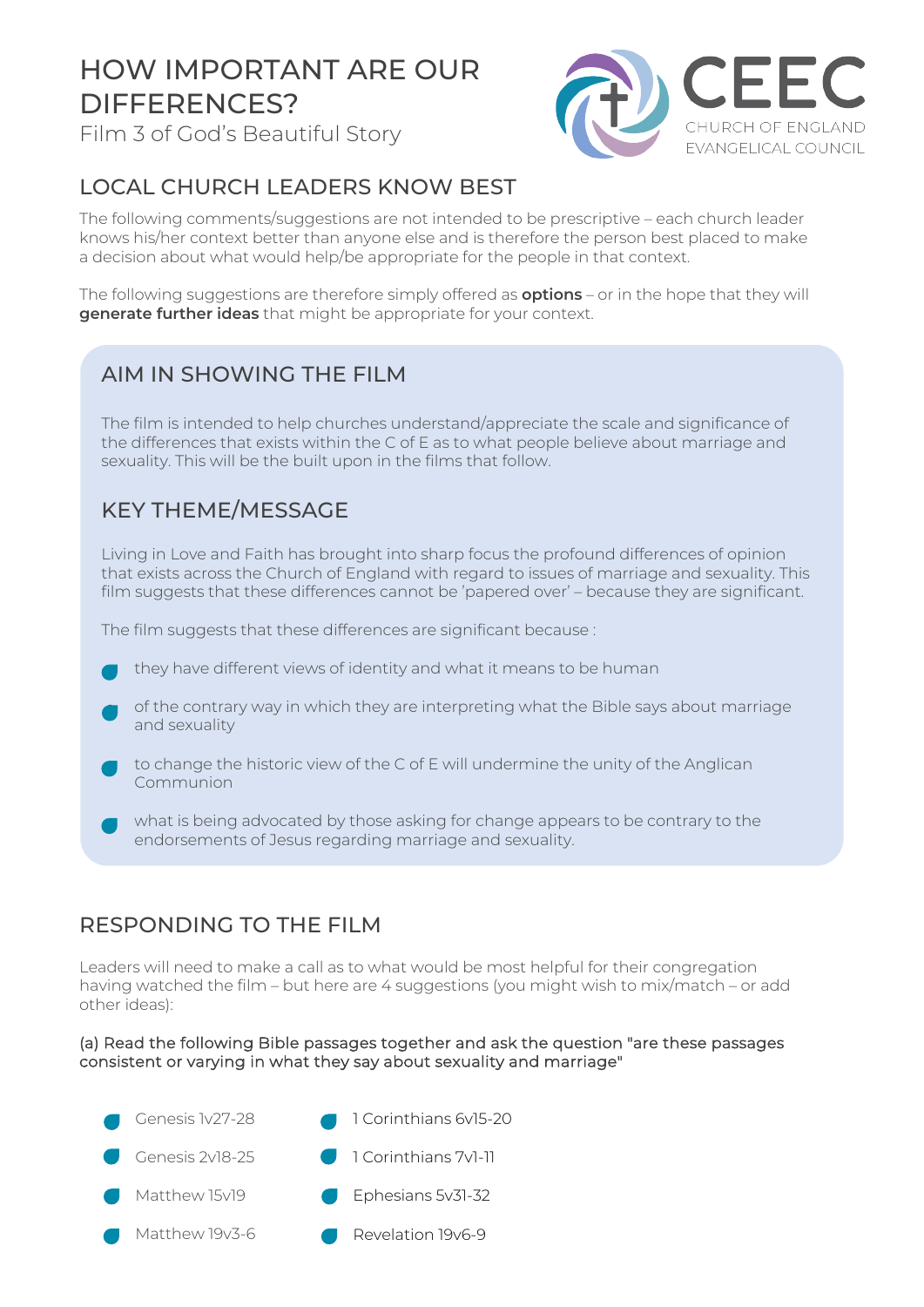# HOW IMPORTANT ARE OUR DIFFERENCES?

Film 3 of God's Beautiful Story



## LOCAL CHURCH LEADERS KNOW BEST

The following comments/suggestions are not intended to be prescriptive – each church leader knows his/her context better than anyone else and is therefore the person best placed to make a decision about what would help/be appropriate for the people in that context.

The following suggestions are therefore simply offered as **options** – or in the hope that they will **generate further ideas** that might be appropriate for your context.

### AIM IN SHOWING THE FILM

The film is intended to help churches understand/appreciate the scale and significance of the differences that exists within the C of E as to what people believe about marriage and sexuality. This will be the built upon in the films that follow.

### KEY THEME/MESSAGE

Living in Love and Faith has brought into sharp focus the profound differences of opinion that exists across the Church of England with regard to issues of marriage and sexuality. This film suggests that these differences cannot be 'papered over' – because they are significant.

The film suggests that these differences are significant because :

- they have different views of identity and what it means to be human
- of the contrary way in which they are interpreting what the Bible says about marriage and sexuality
- to change the historic view of the C of E will undermine the unity of the Anglican Communion
- what is being advocated by those asking for change appears to be contrary to the endorsements of Jesus regarding marriage and sexuality.

#### RESPONDING TO THE FILM

Leaders will need to make a call as to what would be most helpful for their congregation having watched the film – but here are 4 suggestions (you might wish to mix/match – or add other ideas):

#### (a) Read the following Bible passages together and ask the question "are these passages consistent or varying in what they say about sexuality and marriage"